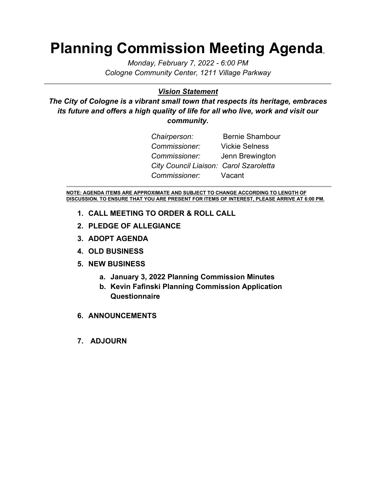# **Planning Commission Meeting Agenda***,*

*Monday, February 7, 2022 - 6:00 PM Cologne Community Center, 1211 Village Parkway*

### *Vision Statement*

*The City of Cologne is a vibrant small town that respects its heritage, embraces its future and offers a high quality of life for all who live, work and visit our community.*

| Chairperson:                           | <b>Bernie Shambour</b> |
|----------------------------------------|------------------------|
| Commissioner:                          | <b>Vickie Selness</b>  |
| Commissioner: Jenn Brewington          |                        |
| City Council Liaison: Carol Szaroletta |                        |
| Commissioner: Vacant                   |                        |

**NOTE: AGENDA ITEMS ARE APPROXIMATE AND SUBJECT TO CHANGE ACCORDING TO LENGTH OF DISCUSSION. TO ENSURE THAT YOU ARE PRESENT FOR ITEMS OF INTEREST, PLEASE ARRIVE AT 6:00 PM.**

- **1. CALL MEETING TO ORDER & ROLL CALL**
- **2. PLEDGE OF ALLEGIANCE**
- **3. ADOPT AGENDA**
- **4. OLD BUSINESS**
- **5. NEW BUSINESS**
	- **a. January 3, 2022 Planning Commission Minutes**
	- **b. Kevin Fafinski Planning Commission Application Questionnaire**
- **6. ANNOUNCEMENTS**
- **7. ADJOURN**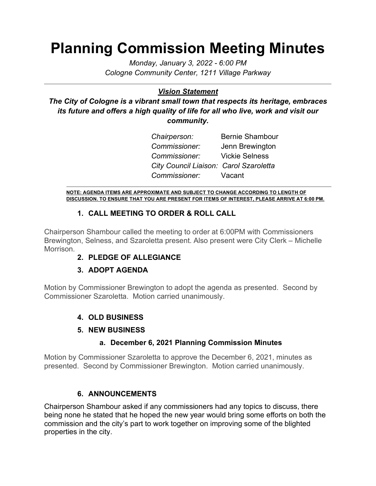# **Planning Commission Meeting Minutes**

*Monday, January 3, 2022 - 6:00 PM Cologne Community Center, 1211 Village Parkway*

# *Vision Statement*

*The City of Cologne is a vibrant small town that respects its heritage, embraces*  its future and offers a high quality of life for all who live, work and visit our *community.*

> **Chairperson:** Bernie Shambour *Commissioner:* Jenn Brewington *Commissioner:* Vickie Selness *City Council Liaison: Carol Szaroletta Commissioner:* Vacant

**NOTE: AGENDA ITEMS ARE APPROXIMATE AND SUBJECT TO CHANGE ACCORDING TO LENGTH OF DISCUSSION. TO ENSURE THAT YOU ARE PRESENT FOR ITEMS OF INTEREST, PLEASE ARRIVE AT 6:00 PM.**

# **1. CALL MEETING TO ORDER & ROLL CALL**

Chairperson Shambour called the meeting to order at 6:00PM with Commissioners Brewington, Selness, and Szaroletta present. Also present were City Clerk – Michelle Morrison.

# **2. PLEDGE OF ALLEGIANCE**

# **3. ADOPT AGENDA**

Motion by Commissioner Brewington to adopt the agenda as presented. Second by Commissioner Szaroletta. Motion carried unanimously.

# **4. OLD BUSINESS**

#### **5. NEW BUSINESS**

#### **a. December 6, 2021 Planning Commission Minutes**

Motion by Commissioner Szaroletta to approve the December 6, 2021, minutes as presented. Second by Commissioner Brewington. Motion carried unanimously.

# **6. ANNOUNCEMENTS**

Chairperson Shambour asked if any commissioners had any topics to discuss, there being none he stated that he hoped the new year would bring some efforts on both the commission and the city's part to work together on improving some of the blighted properties in the city.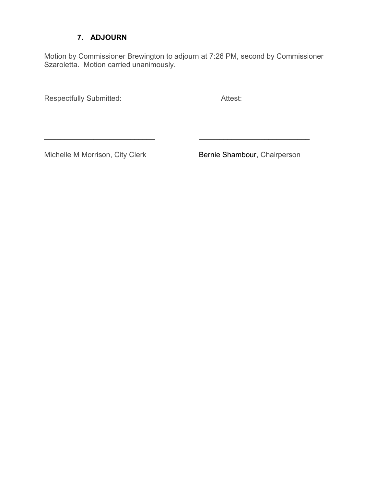### **7. ADJOURN**

Motion by Commissioner Brewington to adjourn at 7:26 PM, second by Commissioner Szaroletta. Motion carried unanimously.

 $\frac{1}{2}$  ,  $\frac{1}{2}$  ,  $\frac{1}{2}$  ,  $\frac{1}{2}$  ,  $\frac{1}{2}$  ,  $\frac{1}{2}$  ,  $\frac{1}{2}$  ,  $\frac{1}{2}$  ,  $\frac{1}{2}$  ,  $\frac{1}{2}$  ,  $\frac{1}{2}$  ,  $\frac{1}{2}$  ,  $\frac{1}{2}$  ,  $\frac{1}{2}$  ,  $\frac{1}{2}$  ,  $\frac{1}{2}$  ,  $\frac{1}{2}$  ,  $\frac{1}{2}$  ,  $\frac{1$ 

Respectfully Submitted: **Attest:** Attest:

Michelle M Morrison, City Clerk Bernie Shambour, Chairperson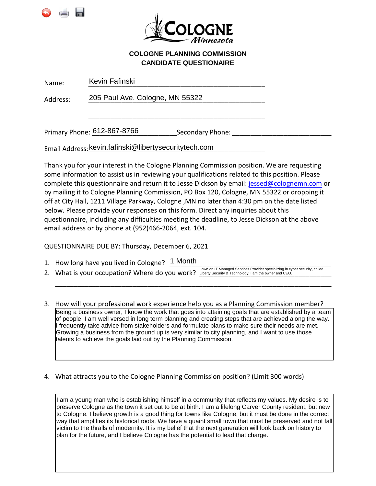



#### **COLOGNE PLANNING COMMISSION CANDIDATE QUESTIONAIRE**

| Name:    | Kevin Fafinski                  |                  |  |
|----------|---------------------------------|------------------|--|
| Address: | 205 Paul Ave. Cologne, MN 55322 |                  |  |
|          |                                 |                  |  |
|          | Primary Phone: 612-867-8766     | Secondary Phone: |  |

Email Address: <mark>kevin.fafinski@libertysecuritytech.com</mark> \_\_\_\_\_\_\_\_\_\_\_\_\_\_\_

Thank you for your interest in the Cologne Planning Commission position. We are requesting some information to assist us in reviewing your qualifications related to this position. Please complete this questionnaire and return it to Jesse Dickson by email: jessed@colognemn.com or by mailing it to Cologne Planning Commission, PO Box 120, Cologne, MN 55322 or dropping it off at City Hall, 1211 Village Parkway, Cologne ,MN no later than 4:30 pm on the date listed below. Please provide your responses on this form. Direct any inquiries about this questionnaire, including any difficulties meeting the deadline, to Jesse Dickson at the above email address or by phone at (952)466-2064, ext. 104.

QUESTIONNAIRE DUE BY: Thursday, December 6, 2021

- 1. How long have you lived in Cologne?  $\frac{1 \text{ month}}{2 \text{ month}}$
- 2. What is your occupation? Where do you work? Liberty Security & Technology. I am the owner and CEO. The owner and CEO.

\_\_\_\_\_\_\_\_\_\_\_\_\_\_\_\_\_\_\_\_\_\_\_\_\_\_\_\_\_\_\_\_\_\_\_\_\_\_\_\_\_\_\_\_\_\_\_\_\_\_\_\_\_\_\_\_\_\_\_\_\_\_\_\_\_\_\_\_\_\_\_\_\_\_\_

3. How will your professional work experience help you as a Planning Commission member? Being a business owner, I know the work that goes into attaining goals that are established by a team of people. I am well versed in long term planning and creating steps that are achieved along the way. I frequently take advice from stakeholders and formulate plans to make sure their needs are met. Growing a business from the ground up is very similar to city planning, and I want to use those talents to achieve the goals laid out by the Planning Commission.

4. What attracts you to the Cologne Planning Commission position? (Limit 300 words)

I am a young man who is establishing himself in a community that reflects my values. My desire is to preserve Cologne as the town it set out to be at birth. I am a lifelong Carver County resident, but new to Cologne. I believe growth is a good thing for towns like Cologne, but it must be done in the correct way that amplifies its historical roots. We have a quaint small town that must be preserved and not fall victim to the thralls of modernity. It is my belief that the next generation will look back on history to plan for the future, and I believe Cologne has the potential to lead that charge.